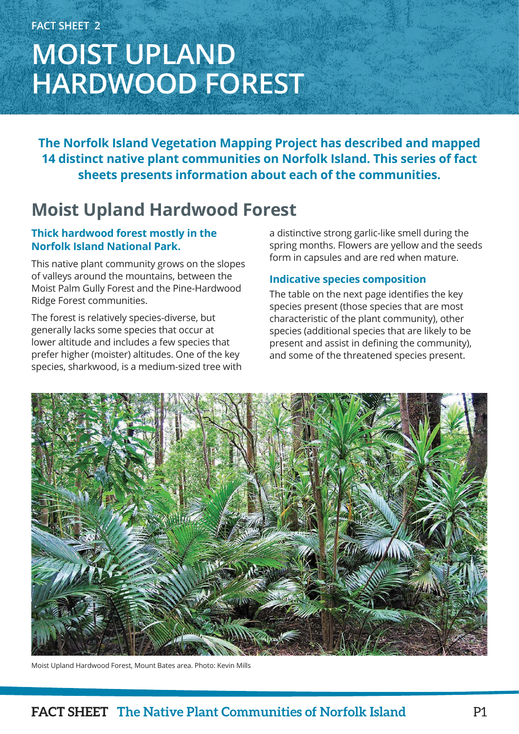# **MOIST UPLAND HARDWOOD FOREST**

**The Norfolk Island Vegetation Mapping Project has described and mapped 14 distinct native plant communities on Norfolk Island. This series of fact sheets presents information about each of the communities.**

### **Moist Upland Hardwood Forest**

### **Thick hardwood forest mostly in the Norfolk Island National Park.**

This native plant community grows on the slopes of valleys around the mountains, between the Moist Palm Gully Forest and the Pine-Hardwood Ridge Forest communities.

The forest is relatively species-diverse, but generally lacks some species that occur at lower altitude and includes a few species that prefer higher (moister) altitudes. One of the key species, sharkwood, is a medium-sized tree with a distinctive strong garlic-like smell during the spring months. Flowers are yellow and the seeds form in capsules and are red when mature.

### **Indicative species composition**

The table on the next page identifies the key species present (those species that are most characteristic of the plant community), other species (additional species that are likely to be present and assist in defining the community), and some of the threatened species present.



Moist Upland Hardwood Forest, Mount Bates area. Photo: Kevin Mills